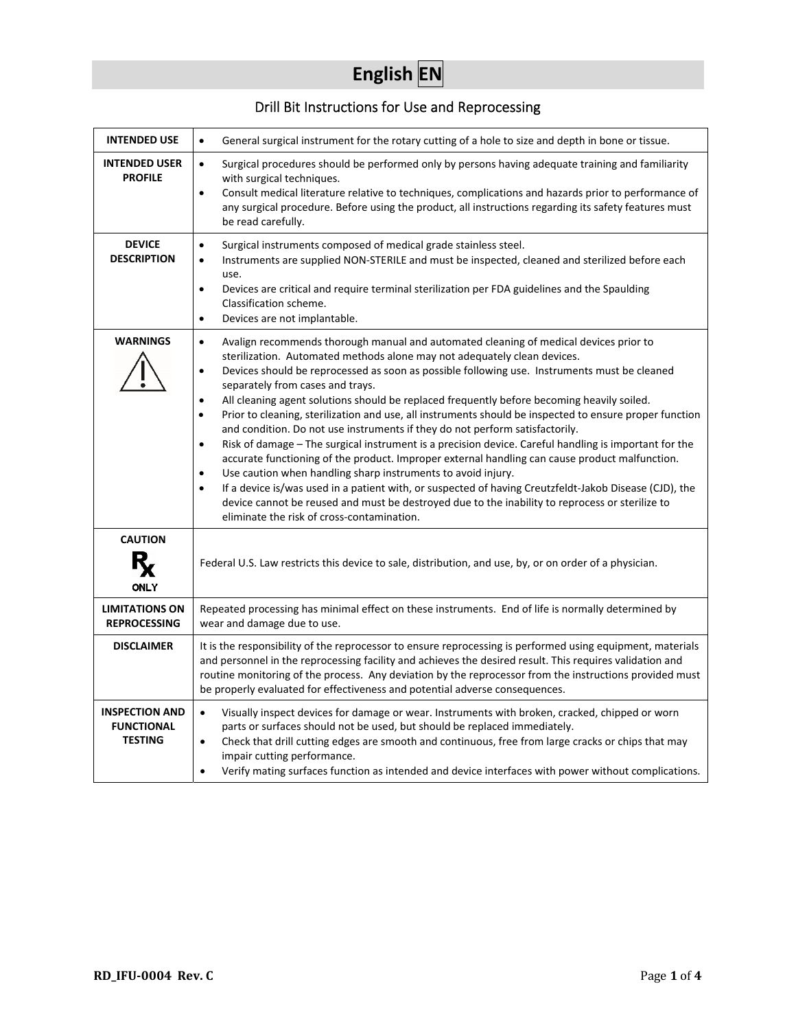# **English EN**

# Drill Bit Instructions for Use and Reprocessing

| <b>INTENDED USE</b>                                          | General surgical instrument for the rotary cutting of a hole to size and depth in bone or tissue.<br>$\bullet$                                                                                                                                                                                                                                                                                                                                                                                                                                                                                                                                                                                                                                                                                                                                                                                                                                                                                                                                                                                                                                                                                                                  |  |  |  |
|--------------------------------------------------------------|---------------------------------------------------------------------------------------------------------------------------------------------------------------------------------------------------------------------------------------------------------------------------------------------------------------------------------------------------------------------------------------------------------------------------------------------------------------------------------------------------------------------------------------------------------------------------------------------------------------------------------------------------------------------------------------------------------------------------------------------------------------------------------------------------------------------------------------------------------------------------------------------------------------------------------------------------------------------------------------------------------------------------------------------------------------------------------------------------------------------------------------------------------------------------------------------------------------------------------|--|--|--|
| <b>INTENDED USER</b><br><b>PROFILE</b>                       | Surgical procedures should be performed only by persons having adequate training and familiarity<br>$\bullet$<br>with surgical techniques.<br>Consult medical literature relative to techniques, complications and hazards prior to performance of<br>$\bullet$<br>any surgical procedure. Before using the product, all instructions regarding its safety features must<br>be read carefully.                                                                                                                                                                                                                                                                                                                                                                                                                                                                                                                                                                                                                                                                                                                                                                                                                                  |  |  |  |
| <b>DEVICE</b><br><b>DESCRIPTION</b>                          | Surgical instruments composed of medical grade stainless steel.<br>$\bullet$<br>Instruments are supplied NON-STERILE and must be inspected, cleaned and sterilized before each<br>$\bullet$<br>use.<br>Devices are critical and require terminal sterilization per FDA guidelines and the Spaulding<br>$\bullet$<br>Classification scheme.<br>Devices are not implantable.<br>$\bullet$                                                                                                                                                                                                                                                                                                                                                                                                                                                                                                                                                                                                                                                                                                                                                                                                                                         |  |  |  |
| <b>WARNINGS</b>                                              | Avalign recommends thorough manual and automated cleaning of medical devices prior to<br>$\bullet$<br>sterilization. Automated methods alone may not adequately clean devices.<br>Devices should be reprocessed as soon as possible following use. Instruments must be cleaned<br>$\bullet$<br>separately from cases and trays.<br>All cleaning agent solutions should be replaced frequently before becoming heavily soiled.<br>$\bullet$<br>Prior to cleaning, sterilization and use, all instruments should be inspected to ensure proper function<br>$\bullet$<br>and condition. Do not use instruments if they do not perform satisfactorily.<br>Risk of damage - The surgical instrument is a precision device. Careful handling is important for the<br>$\bullet$<br>accurate functioning of the product. Improper external handling can cause product malfunction.<br>Use caution when handling sharp instruments to avoid injury.<br>$\bullet$<br>If a device is/was used in a patient with, or suspected of having Creutzfeldt-Jakob Disease (CJD), the<br>$\bullet$<br>device cannot be reused and must be destroyed due to the inability to reprocess or sterilize to<br>eliminate the risk of cross-contamination. |  |  |  |
| <b>CAUTION</b><br><b>ONLY</b>                                | Federal U.S. Law restricts this device to sale, distribution, and use, by, or on order of a physician.                                                                                                                                                                                                                                                                                                                                                                                                                                                                                                                                                                                                                                                                                                                                                                                                                                                                                                                                                                                                                                                                                                                          |  |  |  |
| <b>LIMITATIONS ON</b><br><b>REPROCESSING</b>                 | Repeated processing has minimal effect on these instruments. End of life is normally determined by<br>wear and damage due to use.                                                                                                                                                                                                                                                                                                                                                                                                                                                                                                                                                                                                                                                                                                                                                                                                                                                                                                                                                                                                                                                                                               |  |  |  |
| <b>DISCLAIMER</b>                                            | It is the responsibility of the reprocessor to ensure reprocessing is performed using equipment, materials<br>and personnel in the reprocessing facility and achieves the desired result. This requires validation and<br>routine monitoring of the process. Any deviation by the reprocessor from the instructions provided must<br>be properly evaluated for effectiveness and potential adverse consequences.                                                                                                                                                                                                                                                                                                                                                                                                                                                                                                                                                                                                                                                                                                                                                                                                                |  |  |  |
| <b>INSPECTION AND</b><br><b>FUNCTIONAL</b><br><b>TESTING</b> | Visually inspect devices for damage or wear. Instruments with broken, cracked, chipped or worn<br>$\bullet$<br>parts or surfaces should not be used, but should be replaced immediately.<br>Check that drill cutting edges are smooth and continuous, free from large cracks or chips that may<br>$\bullet$<br>impair cutting performance.<br>Verify mating surfaces function as intended and device interfaces with power without complications.<br>$\bullet$                                                                                                                                                                                                                                                                                                                                                                                                                                                                                                                                                                                                                                                                                                                                                                  |  |  |  |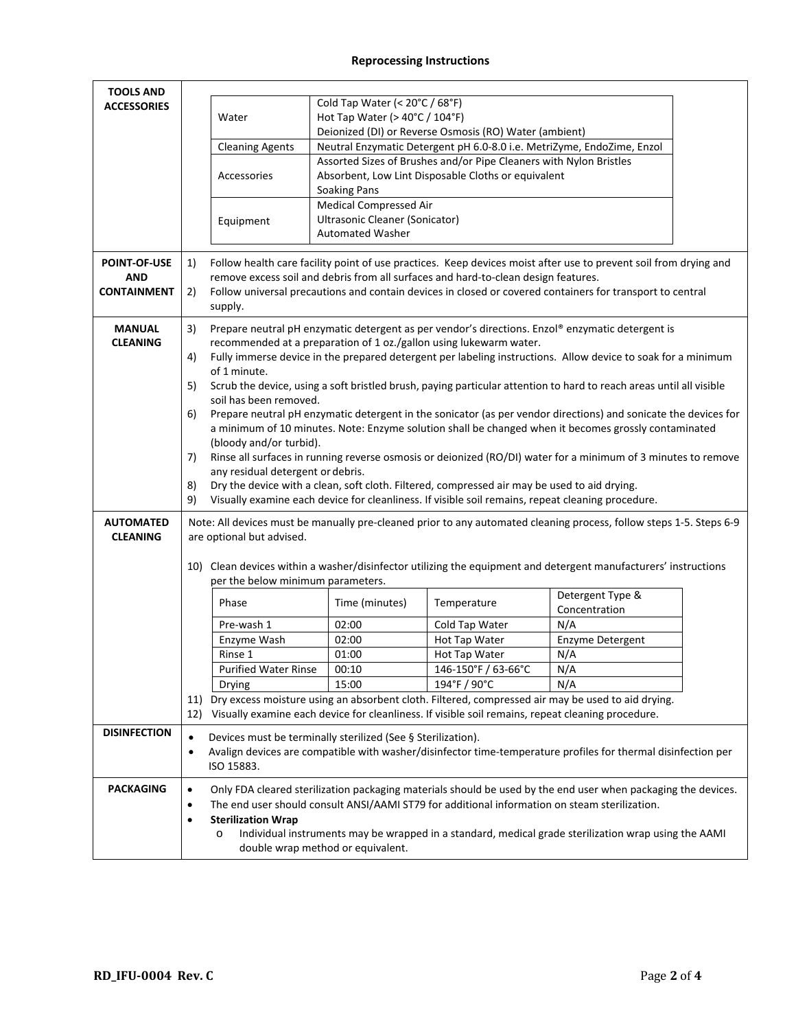# **Reprocessing Instructions**

| <b>TOOLS AND</b>    |                                                                                                                                                      |                                                                                                                                               |                                                      |                                                                                                   |                                                                                                                 |  |  |
|---------------------|------------------------------------------------------------------------------------------------------------------------------------------------------|-----------------------------------------------------------------------------------------------------------------------------------------------|------------------------------------------------------|---------------------------------------------------------------------------------------------------|-----------------------------------------------------------------------------------------------------------------|--|--|
| <b>ACCESSORIES</b>  | Cold Tap Water (< 20°C / 68°F)                                                                                                                       |                                                                                                                                               |                                                      |                                                                                                   |                                                                                                                 |  |  |
|                     |                                                                                                                                                      | Hot Tap Water (> 40°C / 104°F)<br>Water                                                                                                       |                                                      |                                                                                                   |                                                                                                                 |  |  |
|                     |                                                                                                                                                      | Deionized (DI) or Reverse Osmosis (RO) Water (ambient)                                                                                        |                                                      |                                                                                                   |                                                                                                                 |  |  |
|                     |                                                                                                                                                      | <b>Cleaning Agents</b>                                                                                                                        |                                                      |                                                                                                   | Neutral Enzymatic Detergent pH 6.0-8.0 i.e. MetriZyme, EndoZime, Enzol                                          |  |  |
|                     |                                                                                                                                                      |                                                                                                                                               |                                                      | Assorted Sizes of Brushes and/or Pipe Cleaners with Nylon Bristles                                |                                                                                                                 |  |  |
|                     |                                                                                                                                                      | Accessories                                                                                                                                   |                                                      | Absorbent, Low Lint Disposable Cloths or equivalent                                               |                                                                                                                 |  |  |
|                     |                                                                                                                                                      |                                                                                                                                               | <b>Soaking Pans</b><br><b>Medical Compressed Air</b> |                                                                                                   |                                                                                                                 |  |  |
|                     |                                                                                                                                                      |                                                                                                                                               | Ultrasonic Cleaner (Sonicator)                       |                                                                                                   |                                                                                                                 |  |  |
|                     |                                                                                                                                                      | Equipment                                                                                                                                     | <b>Automated Washer</b>                              |                                                                                                   |                                                                                                                 |  |  |
|                     |                                                                                                                                                      |                                                                                                                                               |                                                      |                                                                                                   |                                                                                                                 |  |  |
| <b>POINT-OF-USE</b> | 1)                                                                                                                                                   | Follow health care facility point of use practices. Keep devices moist after use to prevent soil from drying and                              |                                                      |                                                                                                   |                                                                                                                 |  |  |
| <b>AND</b>          |                                                                                                                                                      | remove excess soil and debris from all surfaces and hard-to-clean design features.                                                            |                                                      |                                                                                                   |                                                                                                                 |  |  |
| <b>CONTAINMENT</b>  | 2)                                                                                                                                                   |                                                                                                                                               |                                                      |                                                                                                   | Follow universal precautions and contain devices in closed or covered containers for transport to central       |  |  |
|                     |                                                                                                                                                      | supply.                                                                                                                                       |                                                      |                                                                                                   |                                                                                                                 |  |  |
| <b>MANUAL</b>       | 3)                                                                                                                                                   | Prepare neutral pH enzymatic detergent as per vendor's directions. Enzol® enzymatic detergent is                                              |                                                      |                                                                                                   |                                                                                                                 |  |  |
| <b>CLEANING</b>     |                                                                                                                                                      | recommended at a preparation of 1 oz./gallon using lukewarm water.                                                                            |                                                      |                                                                                                   |                                                                                                                 |  |  |
|                     | 4)                                                                                                                                                   | Fully immerse device in the prepared detergent per labeling instructions. Allow device to soak for a minimum                                  |                                                      |                                                                                                   |                                                                                                                 |  |  |
|                     | 5)                                                                                                                                                   | of 1 minute.                                                                                                                                  |                                                      |                                                                                                   |                                                                                                                 |  |  |
|                     |                                                                                                                                                      | Scrub the device, using a soft bristled brush, paying particular attention to hard to reach areas until all visible<br>soil has been removed. |                                                      |                                                                                                   |                                                                                                                 |  |  |
|                     | 6)                                                                                                                                                   | Prepare neutral pH enzymatic detergent in the sonicator (as per vendor directions) and sonicate the devices for                               |                                                      |                                                                                                   |                                                                                                                 |  |  |
|                     |                                                                                                                                                      |                                                                                                                                               |                                                      |                                                                                                   | a minimum of 10 minutes. Note: Enzyme solution shall be changed when it becomes grossly contaminated            |  |  |
|                     |                                                                                                                                                      | (bloody and/or turbid).                                                                                                                       |                                                      |                                                                                                   |                                                                                                                 |  |  |
|                     | 7)                                                                                                                                                   | Rinse all surfaces in running reverse osmosis or deionized (RO/DI) water for a minimum of 3 minutes to remove                                 |                                                      |                                                                                                   |                                                                                                                 |  |  |
|                     |                                                                                                                                                      | any residual detergent or debris.                                                                                                             |                                                      |                                                                                                   |                                                                                                                 |  |  |
|                     | 8)                                                                                                                                                   |                                                                                                                                               |                                                      | Dry the device with a clean, soft cloth. Filtered, compressed air may be used to aid drying.      |                                                                                                                 |  |  |
|                     | 9)                                                                                                                                                   |                                                                                                                                               |                                                      | Visually examine each device for cleanliness. If visible soil remains, repeat cleaning procedure. |                                                                                                                 |  |  |
| <b>AUTOMATED</b>    |                                                                                                                                                      | Note: All devices must be manually pre-cleaned prior to any automated cleaning process, follow steps 1-5. Steps 6-9                           |                                                      |                                                                                                   |                                                                                                                 |  |  |
| <b>CLEANING</b>     |                                                                                                                                                      | are optional but advised.                                                                                                                     |                                                      |                                                                                                   |                                                                                                                 |  |  |
|                     |                                                                                                                                                      |                                                                                                                                               |                                                      |                                                                                                   |                                                                                                                 |  |  |
|                     |                                                                                                                                                      | per the below minimum parameters.                                                                                                             |                                                      |                                                                                                   | 10) Clean devices within a washer/disinfector utilizing the equipment and detergent manufacturers' instructions |  |  |
|                     |                                                                                                                                                      |                                                                                                                                               |                                                      |                                                                                                   | Detergent Type &                                                                                                |  |  |
|                     |                                                                                                                                                      | Phase                                                                                                                                         | Time (minutes)                                       | Temperature                                                                                       | Concentration                                                                                                   |  |  |
|                     |                                                                                                                                                      | Pre-wash 1                                                                                                                                    | 02:00                                                | Cold Tap Water                                                                                    | N/A                                                                                                             |  |  |
|                     |                                                                                                                                                      | Enzyme Wash                                                                                                                                   | 02:00                                                | Hot Tap Water                                                                                     | Enzyme Detergent                                                                                                |  |  |
|                     |                                                                                                                                                      | Rinse 1                                                                                                                                       | 01:00                                                | Hot Tap Water                                                                                     | N/A                                                                                                             |  |  |
|                     |                                                                                                                                                      | <b>Purified Water Rinse</b>                                                                                                                   | 00:10                                                | 146-150°F / 63-66°C                                                                               | N/A                                                                                                             |  |  |
|                     |                                                                                                                                                      | Drying                                                                                                                                        | 15:00                                                | 194°F / 90°C                                                                                      | N/A                                                                                                             |  |  |
|                     |                                                                                                                                                      |                                                                                                                                               |                                                      |                                                                                                   | 11) Dry excess moisture using an absorbent cloth. Filtered, compressed air may be used to aid drying.           |  |  |
|                     | 12)                                                                                                                                                  |                                                                                                                                               |                                                      | Visually examine each device for cleanliness. If visible soil remains, repeat cleaning procedure. |                                                                                                                 |  |  |
| <b>DISINFECTION</b> | $\bullet$                                                                                                                                            | Devices must be terminally sterilized (See § Sterilization).                                                                                  |                                                      |                                                                                                   |                                                                                                                 |  |  |
|                     | ٠                                                                                                                                                    |                                                                                                                                               |                                                      |                                                                                                   | Avalign devices are compatible with washer/disinfector time-temperature profiles for thermal disinfection per   |  |  |
|                     |                                                                                                                                                      | ISO 15883.                                                                                                                                    |                                                      |                                                                                                   |                                                                                                                 |  |  |
|                     |                                                                                                                                                      |                                                                                                                                               |                                                      |                                                                                                   |                                                                                                                 |  |  |
| <b>PACKAGING</b>    | $\bullet$                                                                                                                                            |                                                                                                                                               |                                                      |                                                                                                   | Only FDA cleared sterilization packaging materials should be used by the end user when packaging the devices.   |  |  |
|                     | The end user should consult ANSI/AAMI ST79 for additional information on steam sterilization.<br>$\bullet$<br><b>Sterilization Wrap</b><br>$\bullet$ |                                                                                                                                               |                                                      |                                                                                                   |                                                                                                                 |  |  |
|                     |                                                                                                                                                      | Individual instruments may be wrapped in a standard, medical grade sterilization wrap using the AAMI<br>$\circ$                               |                                                      |                                                                                                   |                                                                                                                 |  |  |
|                     |                                                                                                                                                      | double wrap method or equivalent.                                                                                                             |                                                      |                                                                                                   |                                                                                                                 |  |  |
|                     |                                                                                                                                                      |                                                                                                                                               |                                                      |                                                                                                   |                                                                                                                 |  |  |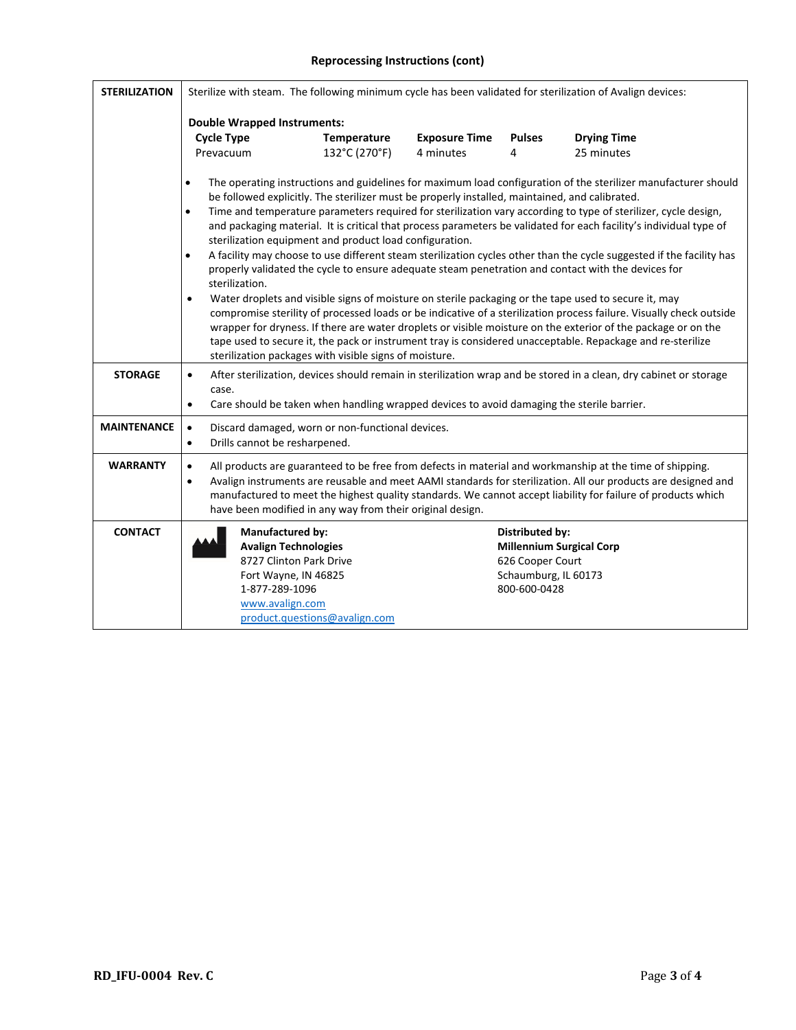### **Reprocessing Instructions (cont)**

| <b>STERILIZATION</b> | Sterilize with steam. The following minimum cycle has been validated for sterilization of Avalign devices:                                                                                                                                                                                                                                                                                                                                                                                                                                                                                                                                                                                                                                                                                                                                                                                                                                                                                                                                                                                                                                                                                                                                                                                                                                      |                               |                      |                                                                             |                                 |  |  |
|----------------------|-------------------------------------------------------------------------------------------------------------------------------------------------------------------------------------------------------------------------------------------------------------------------------------------------------------------------------------------------------------------------------------------------------------------------------------------------------------------------------------------------------------------------------------------------------------------------------------------------------------------------------------------------------------------------------------------------------------------------------------------------------------------------------------------------------------------------------------------------------------------------------------------------------------------------------------------------------------------------------------------------------------------------------------------------------------------------------------------------------------------------------------------------------------------------------------------------------------------------------------------------------------------------------------------------------------------------------------------------|-------------------------------|----------------------|-----------------------------------------------------------------------------|---------------------------------|--|--|
|                      | <b>Double Wrapped Instruments:</b>                                                                                                                                                                                                                                                                                                                                                                                                                                                                                                                                                                                                                                                                                                                                                                                                                                                                                                                                                                                                                                                                                                                                                                                                                                                                                                              |                               |                      |                                                                             |                                 |  |  |
|                      | <b>Cycle Type</b>                                                                                                                                                                                                                                                                                                                                                                                                                                                                                                                                                                                                                                                                                                                                                                                                                                                                                                                                                                                                                                                                                                                                                                                                                                                                                                                               | Temperature                   | <b>Exposure Time</b> | <b>Pulses</b>                                                               | <b>Drying Time</b>              |  |  |
|                      | Prevacuum                                                                                                                                                                                                                                                                                                                                                                                                                                                                                                                                                                                                                                                                                                                                                                                                                                                                                                                                                                                                                                                                                                                                                                                                                                                                                                                                       | 132°C (270°F)                 | 4 minutes            | 4                                                                           | 25 minutes                      |  |  |
|                      | The operating instructions and guidelines for maximum load configuration of the sterilizer manufacturer should<br>$\bullet$<br>be followed explicitly. The sterilizer must be properly installed, maintained, and calibrated.<br>Time and temperature parameters required for sterilization vary according to type of sterilizer, cycle design,<br>$\bullet$<br>and packaging material. It is critical that process parameters be validated for each facility's individual type of<br>sterilization equipment and product load configuration.<br>A facility may choose to use different steam sterilization cycles other than the cycle suggested if the facility has<br>$\bullet$<br>properly validated the cycle to ensure adequate steam penetration and contact with the devices for<br>sterilization.<br>Water droplets and visible signs of moisture on sterile packaging or the tape used to secure it, may<br>$\bullet$<br>compromise sterility of processed loads or be indicative of a sterilization process failure. Visually check outside<br>wrapper for dryness. If there are water droplets or visible moisture on the exterior of the package or on the<br>tape used to secure it, the pack or instrument tray is considered unacceptable. Repackage and re-sterilize<br>sterilization packages with visible signs of moisture. |                               |                      |                                                                             |                                 |  |  |
| <b>STORAGE</b>       | After sterilization, devices should remain in sterilization wrap and be stored in a clean, dry cabinet or storage<br>$\bullet$<br>case.<br>Care should be taken when handling wrapped devices to avoid damaging the sterile barrier.<br>$\bullet$                                                                                                                                                                                                                                                                                                                                                                                                                                                                                                                                                                                                                                                                                                                                                                                                                                                                                                                                                                                                                                                                                               |                               |                      |                                                                             |                                 |  |  |
| <b>MAINTENANCE</b>   | Discard damaged, worn or non-functional devices.<br>$\bullet$<br>Drills cannot be resharpened.<br>$\bullet$                                                                                                                                                                                                                                                                                                                                                                                                                                                                                                                                                                                                                                                                                                                                                                                                                                                                                                                                                                                                                                                                                                                                                                                                                                     |                               |                      |                                                                             |                                 |  |  |
| <b>WARRANTY</b>      | All products are guaranteed to be free from defects in material and workmanship at the time of shipping.<br>$\bullet$<br>Avalign instruments are reusable and meet AAMI standards for sterilization. All our products are designed and<br>$\bullet$<br>manufactured to meet the highest quality standards. We cannot accept liability for failure of products which<br>have been modified in any way from their original design.                                                                                                                                                                                                                                                                                                                                                                                                                                                                                                                                                                                                                                                                                                                                                                                                                                                                                                                |                               |                      |                                                                             |                                 |  |  |
| <b>CONTACT</b>       | <b>Manufactured by:</b><br><b>Avalign Technologies</b><br>8727 Clinton Park Drive<br>Fort Wayne, IN 46825<br>1-877-289-1096<br>www.avalign.com                                                                                                                                                                                                                                                                                                                                                                                                                                                                                                                                                                                                                                                                                                                                                                                                                                                                                                                                                                                                                                                                                                                                                                                                  | product.questions@avalign.com |                      | Distributed by:<br>626 Cooper Court<br>Schaumburg, IL 60173<br>800-600-0428 | <b>Millennium Surgical Corp</b> |  |  |